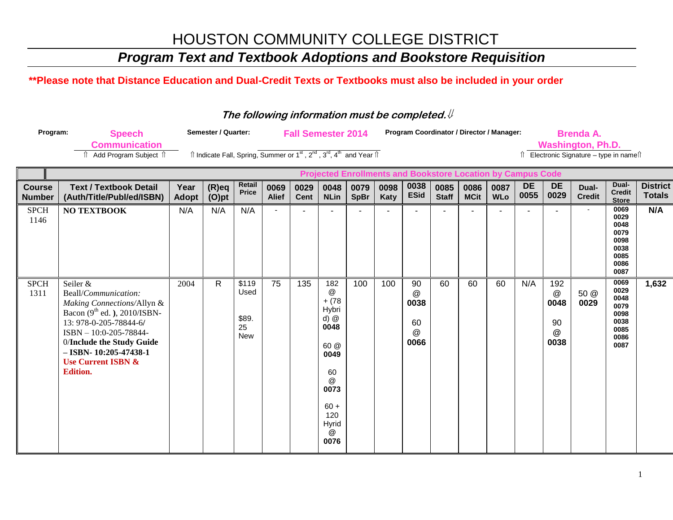### *Program Text and Textbook Adoptions and Bookstore Requisition*

#### **\*\*Please note that Distance Education and Dual-Credit Texts or Textbooks must also be included in your order**

#### **The following information must be completed.**

| Program:                                                           | <b>Speech</b>                                                                                                                                                                                                                                                              |                      | <b>Semester / Quarter:</b>                                                                                            |                                            |                      |                     | <b>Fall Semester 2014</b>                                                                                                         |                     |              |                                           | Program Coordinator / Director / Manager: |                     |                    |                   | <b>Brenda A.</b>                                                                                    |                        |                                                                      |                                  |
|--------------------------------------------------------------------|----------------------------------------------------------------------------------------------------------------------------------------------------------------------------------------------------------------------------------------------------------------------------|----------------------|-----------------------------------------------------------------------------------------------------------------------|--------------------------------------------|----------------------|---------------------|-----------------------------------------------------------------------------------------------------------------------------------|---------------------|--------------|-------------------------------------------|-------------------------------------------|---------------------|--------------------|-------------------|-----------------------------------------------------------------------------------------------------|------------------------|----------------------------------------------------------------------|----------------------------------|
|                                                                    | <b>Communication</b><br><b>↑ Add Program Subject ↑</b>                                                                                                                                                                                                                     |                      | Îl Indicate Fall, Spring, Summer or 1 <sup>st</sup> , 2 <sup>nd</sup> , 3 <sup>rd</sup> , 4 <sup>th</sup> and Year Îl |                                            |                      |                     |                                                                                                                                   |                     |              |                                           |                                           |                     |                    |                   | <b>Washington, Ph.D.</b><br>$\hat{\parallel}$ Electronic Signature – type in name $\hat{\parallel}$ |                        |                                                                      |                                  |
| <b>Projected Enrollments and Bookstore Location by Campus Code</b> |                                                                                                                                                                                                                                                                            |                      |                                                                                                                       |                                            |                      |                     |                                                                                                                                   |                     |              |                                           |                                           |                     |                    |                   |                                                                                                     |                        |                                                                      |                                  |
| <b>Course</b><br><b>Number</b>                                     | <b>Text / Textbook Detail</b><br>(Auth/Title/Publ/ed/ISBN)                                                                                                                                                                                                                 | Year<br><b>Adopt</b> | $(R)$ eq<br>$(O)$ pt                                                                                                  | Retail<br><b>Price</b>                     | 0069<br><b>Alief</b> | 0029<br><b>Cent</b> | 0048<br><b>NLin</b>                                                                                                               | 0079<br><b>SpBr</b> | 0098<br>Katy | 0038<br><b>ESid</b>                       | 0085<br><b>Staff</b>                      | 0086<br><b>MCit</b> | 0087<br><b>WLo</b> | <b>DE</b><br>0055 | <b>DE</b><br>0029                                                                                   | Dual-<br><b>Credit</b> | Dual-<br><b>Credit</b><br><b>Store</b>                               | <b>District</b><br><b>Totals</b> |
| <b>SPCH</b><br>1146                                                | <b>NO TEXTBOOK</b>                                                                                                                                                                                                                                                         | N/A                  | N/A                                                                                                                   | N/A                                        |                      |                     |                                                                                                                                   |                     |              |                                           |                                           |                     |                    |                   |                                                                                                     |                        | 0069<br>0029<br>0048<br>0079<br>0098<br>0038<br>0085<br>0086<br>0087 | N/A                              |
| <b>SPCH</b><br>1311                                                | Seiler &<br>Beall/Communication:<br>Making Connections/Allyn &<br>Bacon (9 <sup>th</sup> ed.), 2010/ISBN-<br>13: 978-0-205-78844-6/<br>ISBN - 10:0-205-78844-<br>0/Include the Study Guide<br>$-$ ISBN- 10:205-47438-1<br><b>Use Current ISBN &amp;</b><br><b>Edition.</b> | 2004                 | $\mathsf{R}$                                                                                                          | \$119<br>Used<br>\$89.<br>25<br><b>New</b> | 75                   | 135                 | 182<br>@<br>$+ (78$<br>Hybri<br>$d)$ $@$<br>0048<br>60 @<br>0049<br>60<br>$\omega$<br>0073<br>$60 +$<br>120<br>Hyrid<br>@<br>0076 | 100                 | 100          | 90<br>$\omega$<br>0038<br>60<br>@<br>0066 | 60                                        | 60                  | 60                 | N/A               | 192<br>$^\text{\textregistered}$<br>0048<br>90<br>$^\circledR$<br>0038                              | 50 @<br>0029           | 0069<br>0029<br>0048<br>0079<br>0098<br>0038<br>0085<br>0086<br>0087 | 1,632                            |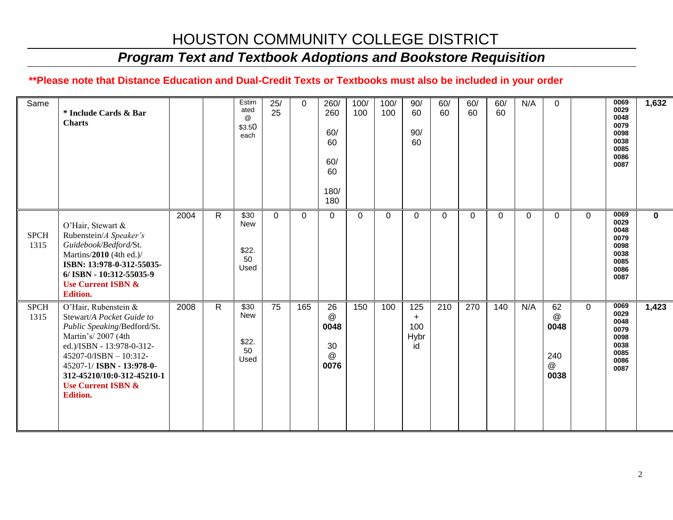## *Program Text and Textbook Adoptions and Bookstore Requisition*

### **\*\*Please note that Distance Education and Dual-Credit Texts or Textbooks must also be included in your order**

| Same                | * Include Cards & Bar<br><b>Charts</b>                                                                                                                                                                                                                                       |      |              | Estim<br>ated<br>$\omega$<br>\$3.50<br>each | 25/<br>25 | $\Omega$ | 260/<br>260<br>60/<br>60<br>60/<br>60<br>180/<br>180 | 100/<br>100 | 100/<br>100 | 90/<br>60<br>90/<br>60          | 60/<br>60 | 60/<br>60 | 60/<br>60 | N/A | $\Omega$                                        |              | 0069<br>0029<br>0048<br>0079<br>0098<br>0038<br>0085<br>0086<br>0087 | 1,632       |
|---------------------|------------------------------------------------------------------------------------------------------------------------------------------------------------------------------------------------------------------------------------------------------------------------------|------|--------------|---------------------------------------------|-----------|----------|------------------------------------------------------|-------------|-------------|---------------------------------|-----------|-----------|-----------|-----|-------------------------------------------------|--------------|----------------------------------------------------------------------|-------------|
| <b>SPCH</b><br>1315 | O'Hair, Stewart &<br>Rubenstein/A Speaker's<br>Guidebook/Bedford/St.<br>Martins/2010 (4th ed.)/<br>ISBN: 13:978-0-312-55035-<br>6/ISBN - 10:312-55035-9<br><b>Use Current ISBN &amp;</b><br><b>Edition.</b>                                                                  | 2004 | $\mathsf{R}$ | \$30<br>New<br>\$22.<br>50<br>Used          | 0         | $\Omega$ | $\mathbf 0$                                          | 0           | $\mathbf 0$ | $\Omega$                        | $\Omega$  | 0         | $\Omega$  | 0   | 0                                               | $\mathbf{0}$ | 0069<br>0029<br>0048<br>0079<br>0098<br>0038<br>0085<br>0086<br>0087 | $\mathbf 0$ |
| <b>SPCH</b><br>1315 | O'Hair, Rubenstein &<br>Stewart/A Pocket Guide to<br>Public Speaking/Bedford/St.<br>Martin's/2007 (4th<br>ed.)/ISBN - 13:978-0-312-<br>45207-0/ISBN - 10:312-<br>45207-1/ ISBN - 13:978-0-<br>312-45210/10:0-312-45210-1<br><b>Use Current ISBN &amp;</b><br><b>Edition.</b> | 2008 | $\mathsf{R}$ | \$30<br>New<br>\$22.<br>50<br>Used          | 75        | 165      | 26<br>@<br>0048<br>30<br>@<br>0076                   | 150         | 100         | 125<br>$+$<br>100<br>Hybr<br>id | 210       | 270       | 140       | N/A | 62<br>$^\copyright$<br>0048<br>240<br>@<br>0038 | $\Omega$     | 0069<br>0029<br>0048<br>0079<br>0098<br>0038<br>0085<br>0086<br>0087 | 1,423       |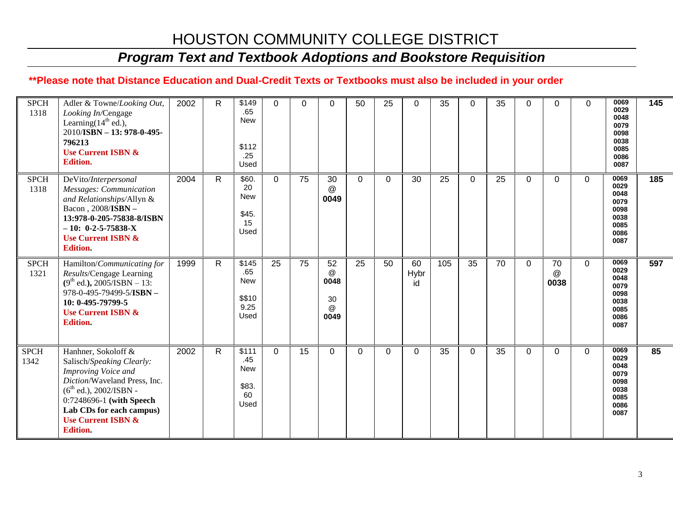## *Program Text and Textbook Adoptions and Bookstore Requisition*

### **\*\*Please note that Distance Education and Dual-Credit Texts or Textbooks must also be included in your order**

| <b>SPCH</b><br>1318 | Adler & Towne/Looking Out,<br>Looking In/Cengage<br>Learning $(14th$ ed.),<br>2010/ISBN - 13: 978-0-495-<br>796213<br><b>Use Current ISBN &amp;</b><br><b>Edition.</b>                                                                             | 2002 | $\mathsf{R}$ | \$149<br>.65<br>New<br>\$112<br>.25<br>Used       | $\Omega$ | 0  | $\Omega$                                  | 50       | 25       | $\Omega$         | 35  | $\Omega$     | 35 | $\Omega$ | 0               | $\Omega$ | 0069<br>0029<br>0048<br>0079<br>0098<br>0038<br>0085<br>0086<br>0087 | 145 |
|---------------------|----------------------------------------------------------------------------------------------------------------------------------------------------------------------------------------------------------------------------------------------------|------|--------------|---------------------------------------------------|----------|----|-------------------------------------------|----------|----------|------------------|-----|--------------|----|----------|-----------------|----------|----------------------------------------------------------------------|-----|
| <b>SPCH</b><br>1318 | DeVito/Interpersonal<br>Messages: Communication<br>and Relationships/Allyn &<br>Bacon, 2008/ISBN -<br>13:978-0-205-75838-8/ISBN<br>$-10: 0-2-5-75838-X$<br><b>Use Current ISBN &amp;</b><br><b>Edition.</b>                                        | 2004 | R.           | \$60.<br>20<br><b>New</b><br>\$45.<br>15<br>Used  | $\Omega$ | 75 | 30<br>@<br>0049                           | $\Omega$ | $\Omega$ | 30               | 25  | $\mathbf{0}$ | 25 | $\Omega$ | $\mathbf 0$     | $\Omega$ | 0069<br>0029<br>0048<br>0079<br>0098<br>0038<br>0085<br>0086<br>0087 | 185 |
| <b>SPCH</b><br>1321 | Hamilton/Communicating for<br>Results/Cengage Learning<br>$(9th$ ed.), 2005/ISBN - 13:<br>978-0-495-79499-5/ISBN -<br>10: 0-495-79799-5<br><b>Use Current ISBN &amp;</b><br><b>Edition.</b>                                                        | 1999 | R            | \$145<br>.65<br>New<br>\$\$10<br>9.25<br>Used     | 25       | 75 | 52<br>$\omega$<br>0048<br>30<br>@<br>0049 | 25       | 50       | 60<br>Hybr<br>id | 105 | 35           | 70 | $\Omega$ | 70<br>@<br>0038 | 0        | 0069<br>0029<br>0048<br>0079<br>0098<br>0038<br>0085<br>0086<br>0087 | 597 |
| <b>SPCH</b><br>1342 | Hanhner, Sokoloff &<br>Salisch/Speaking Clearly:<br>Improving Voice and<br>Diction/Waveland Press, Inc.<br>$(6^{th}$ ed.), 2002/ISBN -<br>0:7248696-1 (with Speech<br>Lab CDs for each campus)<br><b>Use Current ISBN &amp;</b><br><b>Edition.</b> | 2002 | R.           | \$111<br>.45<br><b>New</b><br>\$83.<br>60<br>Used | $\Omega$ | 15 | $\Omega$                                  | 0        | $\Omega$ | $\Omega$         | 35  | $\mathbf 0$  | 35 | $\Omega$ | 0               | $\Omega$ | 0069<br>0029<br>0048<br>0079<br>0098<br>0038<br>0085<br>0086<br>0087 | 85  |